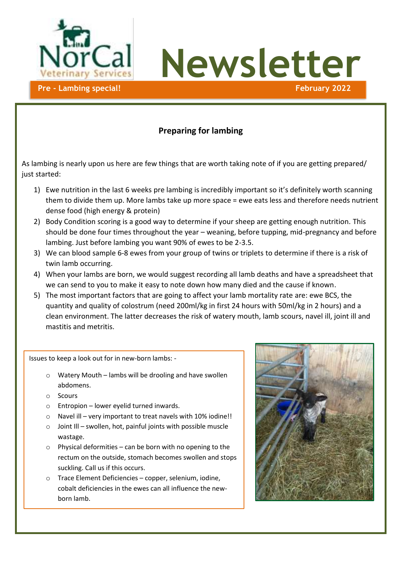

**Newsletter**

#### **Preparing for lambing**

As lambing is nearly upon us here are few things that are worth taking note of if you are getting prepared/ just started:

- 1) Ewe nutrition in the last 6 weeks pre lambing is incredibly important so it's definitely worth scanning them to divide them up. More lambs take up more space = ewe eats less and therefore needs nutrient dense food (high energy & protein)
- 2) Body Condition scoring is a good way to determine if your sheep are getting enough nutrition. This should be done four times throughout the year – weaning, before tupping, mid-pregnancy and before lambing. Just before lambing you want 90% of ewes to be 2-3.5.
- 3) We can blood sample 6-8 ewes from your group of twins or triplets to determine if there is a risk of twin lamb occurring.
- 4) When your lambs are born, we would suggest recording all lamb deaths and have a spreadsheet that we can send to you to make it easy to note down how many died and the cause if known.
- 5) The most important factors that are going to affect your lamb mortality rate are: ewe BCS, the quantity and quality of colostrum (need 200ml/kg in first 24 hours with 50ml/kg in 2 hours) and a clean environment. The latter decreases the risk of watery mouth, lamb scours, navel ill, joint ill and mastitis and metritis.

Issues to keep a look out for in new-born lambs: -

- o Watery Mouth lambs will be drooling and have swollen abdomens.
- o Scours
- $\circ$  Entropion lower eyelid turned inwards.
- o Navel ill very important to treat navels with 10% iodine!!
- o Joint Ill swollen, hot, painful joints with possible muscle wastage.
- $\circ$  Physical deformities can be born with no opening to the rectum on the outside, stomach becomes swollen and stops suckling. Call us if this occurs.
- o Trace Element Deficiencies copper, selenium, iodine, cobalt deficiencies in the ewes can all influence the newborn lamb.

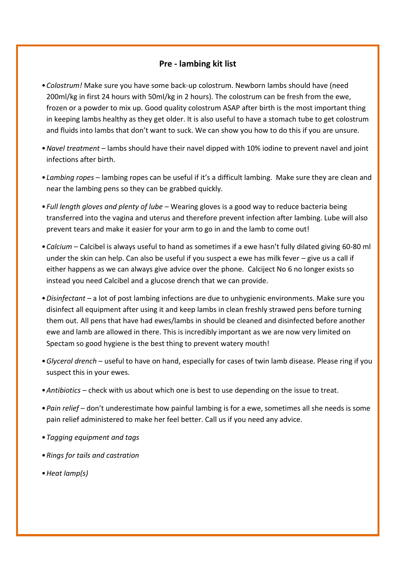#### **Pre - lambing kit list**

- •*Colostrum!* Make sure you have some back-up colostrum. Newborn lambs should have (need 200ml/kg in first 24 hours with 50ml/kg in 2 hours). The colostrum can be fresh from the ewe, frozen or a powder to mix up. Good quality colostrum ASAP after birth is the most important thing in keeping lambs healthy as they get older. It is also useful to have a stomach tube to get colostrum and fluids into lambs that don't want to suck. We can show you how to do this if you are unsure.
- •*Navel treatment* lambs should have their navel dipped with 10% iodine to prevent navel and joint infections after birth.
- •*Lambing ropes* lambing ropes can be useful if it's a difficult lambing. Make sure they are clean and near the lambing pens so they can be grabbed quickly.
- •*Full length gloves and plenty of lube* Wearing gloves is a good way to reduce bacteria being transferred into the vagina and uterus and therefore prevent infection after lambing. Lube will also prevent tears and make it easier for your arm to go in and the lamb to come out!
- •*Calcium* Calcibel is always useful to hand as sometimes if a ewe hasn't fully dilated giving 60-80 ml under the skin can help. Can also be useful if you suspect a ewe has milk fever – give us a call if either happens as we can always give advice over the phone. Calciject No 6 no longer exists so instead you need Calcibel and a glucose drench that we can provide.
- •*Disinfectant* a lot of post lambing infections are due to unhygienic environments. Make sure you disinfect all equipment after using it and keep lambs in clean freshly strawed pens before turning them out. All pens that have had ewes/lambs in should be cleaned and disinfected before another ewe and lamb are allowed in there. This is incredibly important as we are now very limited on Spectam so good hygiene is the best thing to prevent watery mouth!
- •*Glycerol drench* useful to have on hand, especially for cases of twin lamb disease. Please ring if you suspect this in your ewes.
- •*Antibiotics* check with us about which one is best to use depending on the issue to treat.
- •*Pain relief* don't underestimate how painful lambing is for a ewe, sometimes all she needs is some pain relief administered to make her feel better. Call us if you need any advice.
- •*Tagging equipment and tags*
- •*Rings for tails and castration*
- •*Heat lamp(s)*